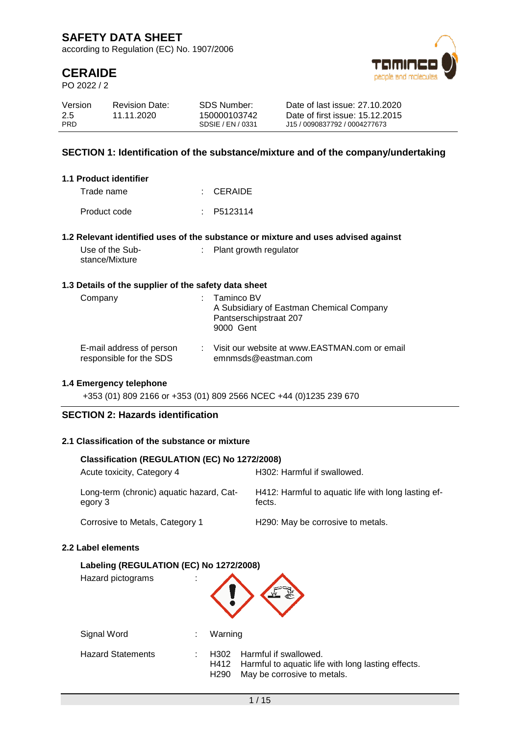according to Regulation (EC) No. 1907/2006

# **CERAIDE**

PO 2022 / 2



| Version<br><b>Revision Date:</b> | SDS Number:                       | Date of last issue: 27.10.2020                                   |
|----------------------------------|-----------------------------------|------------------------------------------------------------------|
| 2.5<br>11.11.2020<br><b>PRD</b>  | 150000103742<br>SDSIF / FN / 0331 | Date of first issue: 15.12.2015<br>J15 / 0090837792 / 0004277673 |

### **SECTION 1: Identification of the substance/mixture and of the company/undertaking**

| 1.1 Product identifier |                       |
|------------------------|-----------------------|
| Trade name             | $\therefore$ CERAIDE  |
| Product code           | $\therefore$ P5123114 |

#### **1.2 Relevant identified uses of the substance or mixture and uses advised against**

| Use of the Sub- | : Plant growth regulator |
|-----------------|--------------------------|
| stance/Mixture  |                          |

#### **1.3 Details of the supplier of the safety data sheet**

| Company                                             | $:$ Taminco BV<br>A Subsidiary of Eastman Chemical Company<br>Pantserschipstraat 207<br>9000 Gent |
|-----------------------------------------------------|---------------------------------------------------------------------------------------------------|
| E-mail address of person<br>responsible for the SDS | : Visit our website at www.EASTMAN.com or email<br>emnmsds@eastman.com                            |

#### **1.4 Emergency telephone**

+353 (01) 809 2166 or +353 (01) 809 2566 NCEC +44 (0)1235 239 670

### **SECTION 2: Hazards identification**

#### **2.1 Classification of the substance or mixture**

#### **Classification (REGULATION (EC) No 1272/2008)**

| Acute toxicity, Category 4                          | H302: Harmful if swallowed.                                   |
|-----------------------------------------------------|---------------------------------------------------------------|
| Long-term (chronic) aquatic hazard, Cat-<br>egory 3 | H412: Harmful to aquatic life with long lasting ef-<br>fects. |
| Corrosive to Metals, Category 1                     | H <sub>290</sub> : May be corrosive to metals.                |

#### **2.2 Label elements**

### **Labeling (REGULATION (EC) No 1272/2008)**

| Hazard pictograms        | ٠ |                                                                                                                                          |
|--------------------------|---|------------------------------------------------------------------------------------------------------------------------------------------|
| Signal Word              | ÷ | Warning                                                                                                                                  |
| <b>Hazard Statements</b> |   | H302 Harmful if swallowed.<br>H412 Harmful to aquatic life with long lasting effects.<br>May be corrosive to metals.<br>H <sub>290</sub> |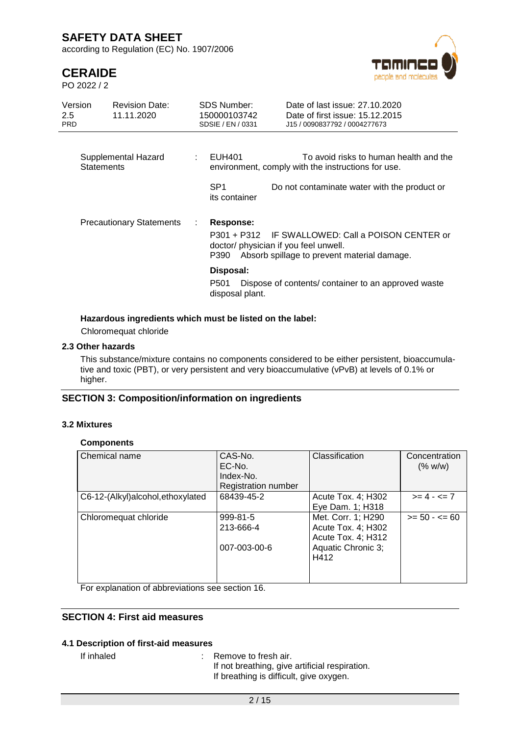according to Regulation (EC) No. 1907/2006

# **CERAIDE**

PO 2022 / 2



| Version<br>$2.5^{\circ}$<br><b>PRD</b> | <b>Revision Date:</b><br>11.11.2020      | <b>SDS Number:</b><br>150000103742<br>SDSIE / EN / 0331 | Date of last issue: 27,10,2020<br>Date of first issue: 15.12.2015<br>J15 / 0090837792 / 0004277673                                        |
|----------------------------------------|------------------------------------------|---------------------------------------------------------|-------------------------------------------------------------------------------------------------------------------------------------------|
|                                        |                                          |                                                         |                                                                                                                                           |
|                                        | Supplemental Hazard<br><b>Statements</b> | EUH401<br>÷                                             | To avoid risks to human health and the<br>environment, comply with the instructions for use.                                              |
|                                        |                                          | SP <sub>1</sub><br>its container                        | Do not contaminate water with the product or                                                                                              |
|                                        | <b>Precautionary Statements</b>          | Response:                                               |                                                                                                                                           |
|                                        |                                          | P390                                                    | P301 + P312 IF SWALLOWED: Call a POISON CENTER or<br>doctor/ physician if you feel unwell.<br>Absorb spillage to prevent material damage. |
|                                        |                                          | Disposal:                                               |                                                                                                                                           |
|                                        |                                          | P501<br>disposal plant.                                 | Dispose of contents/container to an approved waste                                                                                        |

#### **Hazardous ingredients which must be listed on the label:**

Chloromequat chloride

#### **2.3 Other hazards**

This substance/mixture contains no components considered to be either persistent, bioaccumulative and toxic (PBT), or very persistent and very bioaccumulative (vPvB) at levels of 0.1% or higher.

### **SECTION 3: Composition/information on ingredients**

### **3.2 Mixtures**

#### **Components**

| Chemical name                     | CAS-No.<br>EC-No.<br>Index-No.<br><b>Registration number</b> | Classification                                                                               | Concentration<br>(% w/w) |
|-----------------------------------|--------------------------------------------------------------|----------------------------------------------------------------------------------------------|--------------------------|
| C6-12-(Alkyl)alcohol, ethoxylated | 68439-45-2                                                   | Acute Tox. 4; H302<br>Eye Dam. 1; H318                                                       | $>= 4 - 5 = 7$           |
| Chloromequat chloride             | 999-81-5<br>213-666-4<br>007-003-00-6                        | Met. Corr. 1; H290<br>Acute Tox. 4; H302<br>Acute Tox. 4; H312<br>Aquatic Chronic 3;<br>H412 | $>= 50 - 5 = 60$         |

For explanation of abbreviations see section 16.

## **SECTION 4: First aid measures**

#### **4.1 Description of first-aid measures**

If inhaled : Remove to fresh air.

If not breathing, give artificial respiration. If breathing is difficult, give oxygen.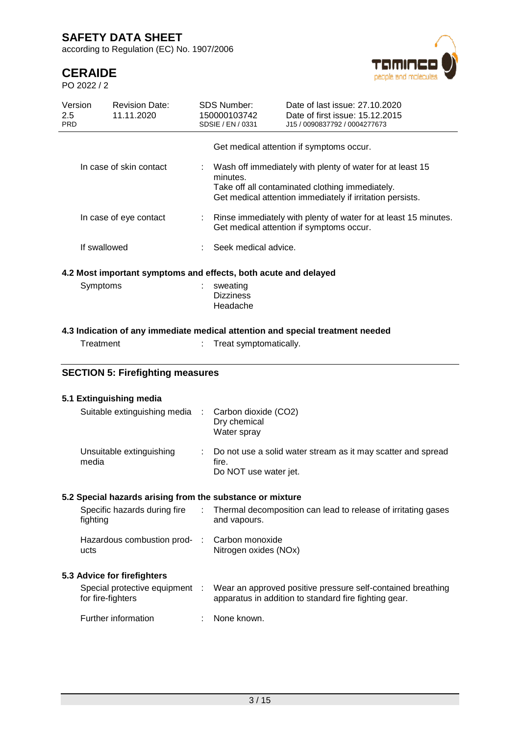according to Regulation (EC) No. 1907/2006

# **CERAIDE**

PO 2022 / 2



| Version<br>2.5<br><b>PRD</b> | <b>Revision Date:</b><br>11.11.2020                                                                                   |    | <b>SDS Number:</b><br>150000103742<br>SDSIE / EN / 0331                                                                                                                               | Date of last issue: 27.10.2020<br>Date of first issue: 15.12.2015<br>J15 / 0090837792 / 0004277673                   |  |  |
|------------------------------|-----------------------------------------------------------------------------------------------------------------------|----|---------------------------------------------------------------------------------------------------------------------------------------------------------------------------------------|----------------------------------------------------------------------------------------------------------------------|--|--|
|                              |                                                                                                                       |    |                                                                                                                                                                                       | Get medical attention if symptoms occur.                                                                             |  |  |
| In case of skin contact      |                                                                                                                       |    | Wash off immediately with plenty of water for at least 15<br>minutes.<br>Take off all contaminated clothing immediately.<br>Get medical attention immediately if irritation persists. |                                                                                                                      |  |  |
|                              | In case of eye contact                                                                                                | t. |                                                                                                                                                                                       | Rinse immediately with plenty of water for at least 15 minutes.<br>Get medical attention if symptoms occur.          |  |  |
|                              | If swallowed                                                                                                          |    | Seek medical advice.                                                                                                                                                                  |                                                                                                                      |  |  |
|                              | 4.2 Most important symptoms and effects, both acute and delayed                                                       |    |                                                                                                                                                                                       |                                                                                                                      |  |  |
|                              | Symptoms                                                                                                              |    | sweating<br><b>Dizziness</b><br>Headache                                                                                                                                              |                                                                                                                      |  |  |
|                              | 4.3 Indication of any immediate medical attention and special treatment needed<br>Treatment<br>Treat symptomatically. |    |                                                                                                                                                                                       |                                                                                                                      |  |  |
|                              | <b>SECTION 5: Firefighting measures</b>                                                                               |    |                                                                                                                                                                                       |                                                                                                                      |  |  |
|                              | 5.1 Extinguishing media                                                                                               |    |                                                                                                                                                                                       |                                                                                                                      |  |  |
|                              | Suitable extinguishing media                                                                                          |    | Carbon dioxide (CO2)<br>Dry chemical<br>Water spray                                                                                                                                   |                                                                                                                      |  |  |
| media                        | Unsuitable extinguishing                                                                                              |    | fire.<br>Do NOT use water jet.                                                                                                                                                        | Do not use a solid water stream as it may scatter and spread                                                         |  |  |
|                              | 5.2 Special hazards arising from the substance or mixture                                                             |    |                                                                                                                                                                                       |                                                                                                                      |  |  |
|                              | Specific hazards during fire<br>fighting                                                                              |    | and vapours.                                                                                                                                                                          | Thermal decomposition can lead to release of irritating gases                                                        |  |  |
| ucts                         | Hazardous combustion prod-                                                                                            |    | Carbon monoxide<br>Nitrogen oxides (NOx)                                                                                                                                              |                                                                                                                      |  |  |
|                              | 5.3 Advice for firefighters                                                                                           |    |                                                                                                                                                                                       |                                                                                                                      |  |  |
|                              | Special protective equipment :<br>for fire-fighters                                                                   |    |                                                                                                                                                                                       | Wear an approved positive pressure self-contained breathing<br>apparatus in addition to standard fire fighting gear. |  |  |
|                              | Further information                                                                                                   |    | None known.                                                                                                                                                                           |                                                                                                                      |  |  |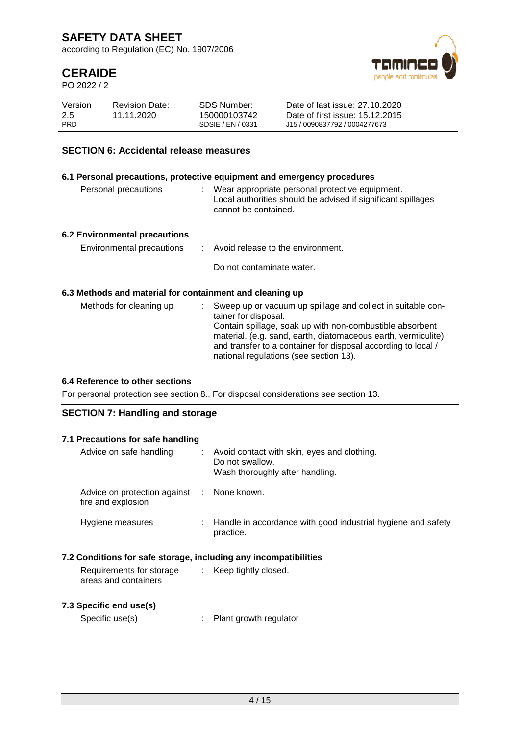according to Regulation (EC) No. 1907/2006

# **CERAIDE**

PO 2022 / 2



| Version           | <b>Revision Date:</b> | SDS Number:                       | Date of last issue: 27.10.2020                                   |
|-------------------|-----------------------|-----------------------------------|------------------------------------------------------------------|
| 2.5<br><b>PRD</b> | 11.11.2020            | 150000103742<br>SDSIE / EN / 0331 | Date of first issue: 15.12.2015<br>J15 / 0090837792 / 0004277673 |
|                   |                       |                                   |                                                                  |

### **SECTION 6: Accidental release measures**

#### **6.1 Personal precautions, protective equipment and emergency procedures**

| Personal precautions                                     | : Wear appropriate personal protective equipment.<br>Local authorities should be advised if significant spillages<br>cannot be contained.                                                                                                                                         |  |  |
|----------------------------------------------------------|-----------------------------------------------------------------------------------------------------------------------------------------------------------------------------------------------------------------------------------------------------------------------------------|--|--|
| <b>6.2 Environmental precautions</b>                     |                                                                                                                                                                                                                                                                                   |  |  |
| Environmental precautions                                | : Avoid release to the environment.                                                                                                                                                                                                                                               |  |  |
|                                                          | Do not contaminate water.                                                                                                                                                                                                                                                         |  |  |
| 6.3 Methods and material for containment and cleaning up |                                                                                                                                                                                                                                                                                   |  |  |
| Methods for cleaning up                                  | Sweep up or vacuum up spillage and collect in suitable con-<br>tainer for disposal.<br>Contain spillage, soak up with non-combustible absorbent<br>material, (e.g. sand, earth, diatomaceous earth, vermiculite)<br>and transfer to a container for disposal according to local / |  |  |

national regulations (see section 13).

#### **6.4 Reference to other sections**

For personal protection see section 8., For disposal considerations see section 13.

#### **SECTION 7: Handling and storage**

| 7.1 Precautions for safe handling                                       |                                                                                                     |
|-------------------------------------------------------------------------|-----------------------------------------------------------------------------------------------------|
| Advice on safe handling                                                 | : Avoid contact with skin, eyes and clothing.<br>Do not swallow.<br>Wash thoroughly after handling. |
| Advice on protection against : None known.<br>fire and explosion        |                                                                                                     |
| Hygiene measures                                                        | : Handle in accordance with good industrial hygiene and safety<br>practice.                         |
| 7.2 Conditions for safe storage, including any incompatibilities        |                                                                                                     |
| Requirements for storage : Keep tightly closed.<br>areas and containers |                                                                                                     |
| 7.3 Specific end use(s)                                                 |                                                                                                     |
| Specific use(s)                                                         | Plant growth regulator                                                                              |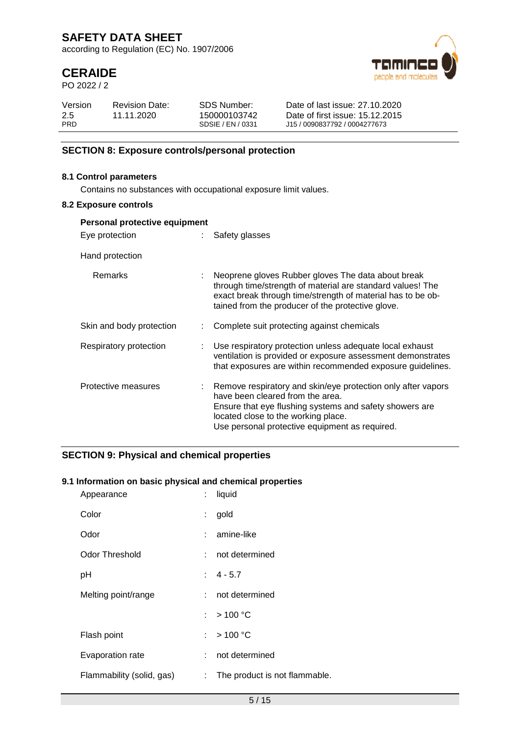according to Regulation (EC) No. 1907/2006

# **CERAIDE**

PO 2022 / 2



| Version | <b>Revision Date:</b> | SDS Number:       | Date of last issue: 27.10.2020  |
|---------|-----------------------|-------------------|---------------------------------|
| 2.5     | 11.11.2020            | 150000103742      | Date of first issue: 15.12.2015 |
| PRD     |                       | SDSIE / EN / 0331 | J15 / 0090837792 / 0004277673   |

### **SECTION 8: Exposure controls/personal protection**

#### **8.1 Control parameters**

Contains no substances with occupational exposure limit values.

#### **8.2 Exposure controls**

| Personal protective equipment |                                                                                                                                                                                                                                                        |
|-------------------------------|--------------------------------------------------------------------------------------------------------------------------------------------------------------------------------------------------------------------------------------------------------|
| Eye protection                | Safety glasses                                                                                                                                                                                                                                         |
| Hand protection               |                                                                                                                                                                                                                                                        |
| <b>Remarks</b>                | Neoprene gloves Rubber gloves The data about break<br>through time/strength of material are standard values! The<br>exact break through time/strength of material has to be ob-<br>tained from the producer of the protective glove.                   |
| Skin and body protection      | Complete suit protecting against chemicals                                                                                                                                                                                                             |
| Respiratory protection        | Use respiratory protection unless adequate local exhaust<br>ventilation is provided or exposure assessment demonstrates<br>that exposures are within recommended exposure guidelines.                                                                  |
| Protective measures           | : Remove respiratory and skin/eye protection only after vapors<br>have been cleared from the area.<br>Ensure that eye flushing systems and safety showers are<br>located close to the working place.<br>Use personal protective equipment as required. |

## **SECTION 9: Physical and chemical properties**

#### **9.1 Information on basic physical and chemical properties**

| Appearance                | t. | liquid                        |
|---------------------------|----|-------------------------------|
| Color                     | ÷  | gold                          |
| Odor                      |    | amine-like                    |
| <b>Odor Threshold</b>     |    | : not determined              |
| pH                        |    | $: 4 - 5.7$                   |
| Melting point/range       |    | : not determined              |
|                           |    | : $>100 °C$                   |
| Flash point               |    | : $>100 °C$                   |
| Evaporation rate          |    | not determined                |
| Flammability (solid, gas) | t. | The product is not flammable. |
|                           |    |                               |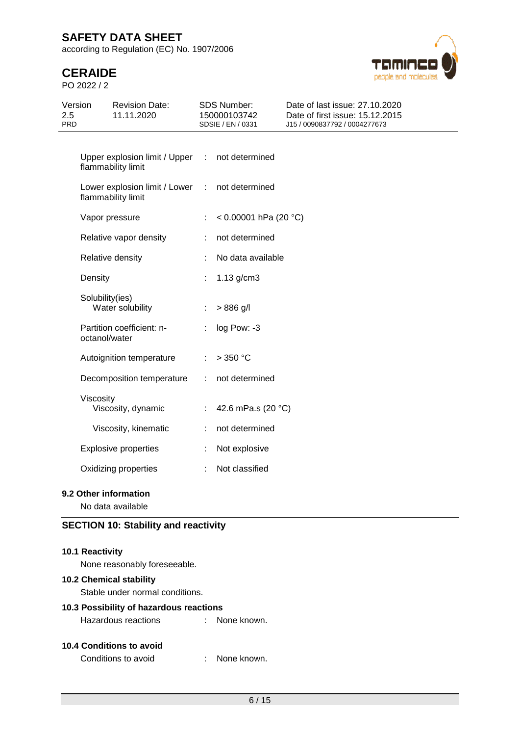according to Regulation (EC) No. 1907/2006

# **CERAIDE**

PO 2022 / 2



| Version<br>2.5<br>PRD | <b>Revision Date:</b><br>11.11.2020                                  |    | SDS Number:<br>150000103742<br>SDSIE / EN / 0331 | Date of last issue: 27.10.2020<br>Date of first issue: 15.12.2015<br>J15 / 0090837792 / 0004277673 |
|-----------------------|----------------------------------------------------------------------|----|--------------------------------------------------|----------------------------------------------------------------------------------------------------|
|                       | Upper explosion limit / Upper<br>flammability limit                  |    | : not determined                                 |                                                                                                    |
|                       | Lower explosion limit / Lower : not determined<br>flammability limit |    |                                                  |                                                                                                    |
|                       | Vapor pressure                                                       |    | < $0.00001$ hPa (20 °C)                          |                                                                                                    |
|                       | Relative vapor density                                               |    | not determined                                   |                                                                                                    |
|                       | Relative density                                                     |    | No data available                                |                                                                                                    |
|                       | Density                                                              |    | $1.13$ g/cm $3$                                  |                                                                                                    |
|                       | Solubility(ies)<br>Water solubility                                  | ÷  | $> 886$ g/l                                      |                                                                                                    |
|                       | Partition coefficient: n-<br>octanol/water                           |    | log Pow: -3                                      |                                                                                                    |
|                       | Autoignition temperature                                             |    | : $>350 °C$                                      |                                                                                                    |
|                       | Decomposition temperature                                            | ÷. | not determined                                   |                                                                                                    |
|                       | Viscosity<br>Viscosity, dynamic                                      |    | 42.6 mPa.s (20 °C)                               |                                                                                                    |
|                       | Viscosity, kinematic                                                 |    | not determined                                   |                                                                                                    |
|                       | <b>Explosive properties</b>                                          |    | Not explosive                                    |                                                                                                    |
|                       | Oxidizing properties                                                 |    | Not classified                                   |                                                                                                    |

### **9.2 Other information**

No data available

## **SECTION 10: Stability and reactivity**

#### **10.1 Reactivity**

None reasonably foreseeable.

### **10.2 Chemical stability**

Stable under normal conditions.

### **10.3 Possibility of hazardous reactions**

| Hazardous reactions<br>None known. |
|------------------------------------|
|                                    |

#### **10.4 Conditions to avoid**

Conditions to avoid : None known.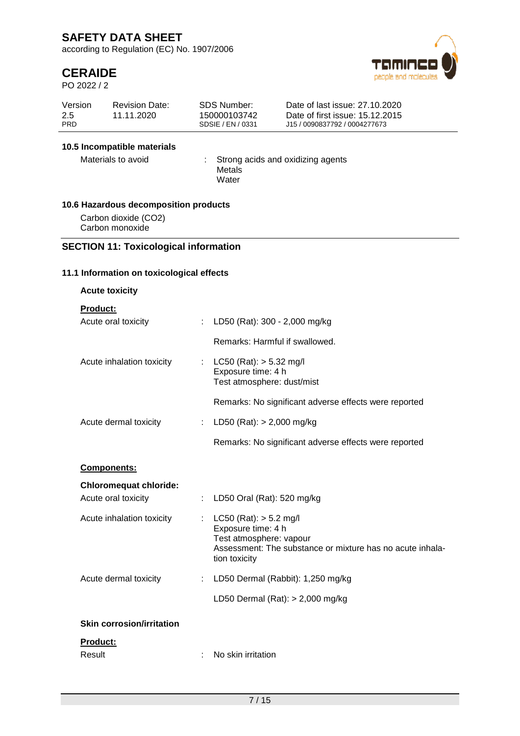according to Regulation (EC) No. 1907/2006

# **CERAIDE**

PO 2022 / 2



| Version    | <b>Revision Date:</b> | SDS Number:       | Date of last issue: 27.10.2020  |
|------------|-----------------------|-------------------|---------------------------------|
| 2.5        | 11.11.2020            | 150000103742      | Date of first issue: 15.12.2015 |
| <b>PRD</b> |                       | SDSIE / EN / 0331 | J15 / 0090837792 / 0004277673   |

#### **10.5 Incompatible materials**

Materials to avoid : Strong acids and oxidizing agents **Metals Water** 

### **10.6 Hazardous decomposition products**

Carbon dioxide (CO2) Carbon monoxide

### **SECTION 11: Toxicological information**

### **11.1 Information on toxicological effects**

### **Acute toxicity**

| : LD50 (Rat): 300 - 2,000 mg/kg                                                                                                                           |
|-----------------------------------------------------------------------------------------------------------------------------------------------------------|
| Remarks: Harmful if swallowed.                                                                                                                            |
| : $LC50 (Rat): > 5.32$ mg/l<br>Exposure time: 4 h<br>Test atmosphere: dust/mist                                                                           |
| Remarks: No significant adverse effects were reported                                                                                                     |
| LD50 (Rat): $> 2,000$ mg/kg                                                                                                                               |
| Remarks: No significant adverse effects were reported                                                                                                     |
|                                                                                                                                                           |
|                                                                                                                                                           |
| LD50 Oral (Rat): 520 mg/kg<br>$\mathbb{R}^{\mathbb{Z}}$                                                                                                   |
| $LC50$ (Rat): $> 5.2$ mg/l<br>Exposure time: 4 h<br>Test atmosphere: vapour<br>Assessment: The substance or mixture has no acute inhala-<br>tion toxicity |
| : LD50 Dermal (Rabbit): 1,250 mg/kg                                                                                                                       |
| LD50 Dermal $(Rat):$ > 2,000 mg/kg                                                                                                                        |
|                                                                                                                                                           |
|                                                                                                                                                           |
| No skin irritation                                                                                                                                        |
|                                                                                                                                                           |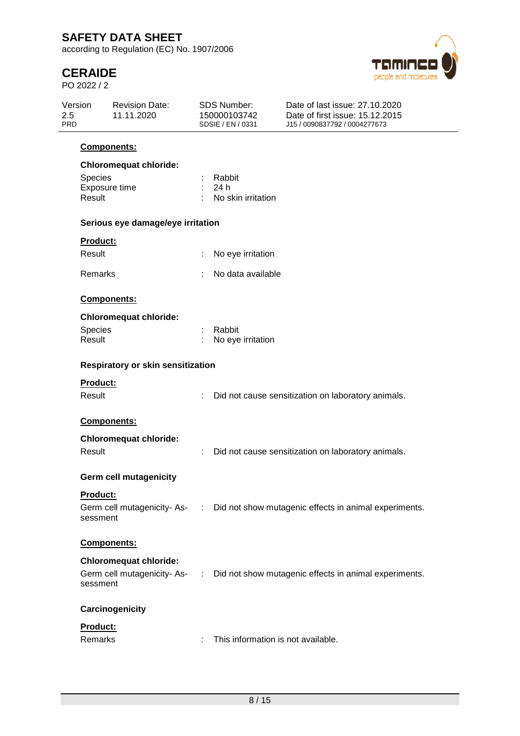according to Regulation (EC) No. 1907/2006

# **CERAIDE**

PO 2022 / 2



| <b>Revision Date:</b><br>Version<br>2.5<br>11.11.2020<br>PRD. | SDS Number:<br>150000103742<br>SDSIF / FN / 0331 | Date of last issue: 27.10.2020<br>Date of first issue: 15.12.2015<br>J15 / 0090837792 / 0004277673 |
|---------------------------------------------------------------|--------------------------------------------------|----------------------------------------------------------------------------------------------------|
|---------------------------------------------------------------|--------------------------------------------------|----------------------------------------------------------------------------------------------------|

### **Components:**

| <b>Chloromequat chloride:</b>          |    |                                                                                     |
|----------------------------------------|----|-------------------------------------------------------------------------------------|
| Species                                |    | Rabbit                                                                              |
| Exposure time                          |    | 24 h                                                                                |
| Result                                 |    | No skin irritation                                                                  |
|                                        |    |                                                                                     |
| Serious eye damage/eye irritation      |    |                                                                                     |
| Product:                               |    |                                                                                     |
|                                        |    |                                                                                     |
| Result                                 |    | No eye irritation                                                                   |
| Remarks                                |    | No data available                                                                   |
|                                        |    |                                                                                     |
| Components:                            |    |                                                                                     |
|                                        |    |                                                                                     |
| <b>Chloromequat chloride:</b>          |    |                                                                                     |
| Species                                |    | Rabbit                                                                              |
| Result                                 |    | No eye irritation                                                                   |
|                                        |    |                                                                                     |
| Respiratory or skin sensitization      |    |                                                                                     |
|                                        |    |                                                                                     |
| Product:                               |    |                                                                                     |
| Result                                 |    | Did not cause sensitization on laboratory animals.                                  |
|                                        |    |                                                                                     |
| Components:                            |    |                                                                                     |
| <b>Chloromequat chloride:</b>          |    |                                                                                     |
| Result                                 |    | Did not cause sensitization on laboratory animals.                                  |
|                                        |    |                                                                                     |
| Germ cell mutagenicity                 |    |                                                                                     |
|                                        |    |                                                                                     |
| Product:                               |    |                                                                                     |
|                                        |    | Germ cell mutagenicity- As- : Did not show mutagenic effects in animal experiments. |
| sessment                               |    |                                                                                     |
|                                        |    |                                                                                     |
| <b>Components:</b>                     |    |                                                                                     |
| <b>Chloromequat chloride:</b>          |    |                                                                                     |
|                                        |    |                                                                                     |
| Germ cell mutagenicity-As-<br>sessment | ÷. | Did not show mutagenic effects in animal experiments.                               |
|                                        |    |                                                                                     |
| Carcinogenicity                        |    |                                                                                     |
|                                        |    |                                                                                     |
| Product:                               |    |                                                                                     |
| Remarks                                | ÷  | This information is not available.                                                  |
|                                        |    |                                                                                     |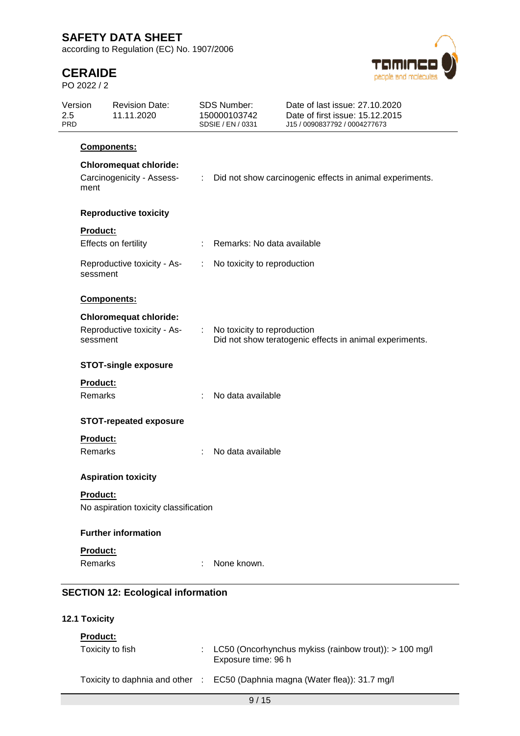according to Regulation (EC) No. 1907/2006

# **CERAIDE**

PO 2022 / 2



| Version<br>2.5<br><b>PRD</b> | <b>Revision Date:</b><br>11.11.2020                        |    | <b>SDS Number:</b><br>150000103742<br>SDSIE / EN / 0331 | Date of last issue: 27.10.2020<br>Date of first issue: 15.12.2015<br>J15 / 0090837792 / 0004277673 |
|------------------------------|------------------------------------------------------------|----|---------------------------------------------------------|----------------------------------------------------------------------------------------------------|
|                              | Components:                                                |    |                                                         |                                                                                                    |
| ment                         | <b>Chloromequat chloride:</b><br>Carcinogenicity - Assess- |    |                                                         | : Did not show carcinogenic effects in animal experiments.                                         |
|                              | <b>Reproductive toxicity</b>                               |    |                                                         |                                                                                                    |
|                              | Product:                                                   |    |                                                         |                                                                                                    |
|                              | Effects on fertility                                       |    | Remarks: No data available                              |                                                                                                    |
|                              | Reproductive toxicity - As-<br>sessment                    | ÷. | No toxicity to reproduction                             |                                                                                                    |
|                              | Components:                                                |    |                                                         |                                                                                                    |
|                              | <b>Chloromequat chloride:</b>                              |    |                                                         |                                                                                                    |
|                              | Reproductive toxicity - As-<br>sessment                    | ÷. | No toxicity to reproduction                             | Did not show teratogenic effects in animal experiments.                                            |
|                              | <b>STOT-single exposure</b>                                |    |                                                         |                                                                                                    |
|                              | Product:                                                   |    |                                                         |                                                                                                    |
|                              | <b>Remarks</b>                                             |    | No data available                                       |                                                                                                    |
|                              | <b>STOT-repeated exposure</b>                              |    |                                                         |                                                                                                    |
|                              | Product:                                                   |    |                                                         |                                                                                                    |
| Remarks                      |                                                            |    | No data available                                       |                                                                                                    |
|                              | <b>Aspiration toxicity</b>                                 |    |                                                         |                                                                                                    |
|                              | Product:                                                   |    |                                                         |                                                                                                    |
|                              | No aspiration toxicity classification                      |    |                                                         |                                                                                                    |
|                              | <b>Further information</b>                                 |    |                                                         |                                                                                                    |
| Product:                     |                                                            |    |                                                         |                                                                                                    |
| Remarks                      |                                                            |    | None known.                                             |                                                                                                    |
|                              | <b>SECTION 12: Ecological information</b>                  |    |                                                         |                                                                                                    |

## **12.1 Toxicity**

| <b>Product:</b>  |                                                                                 |
|------------------|---------------------------------------------------------------------------------|
| Toxicity to fish | LC50 (Oncorhynchus mykiss (rainbow trout)): $> 100$ mg/l<br>Exposure time: 96 h |
|                  | Toxicity to daphnia and other : EC50 (Daphnia magna (Water flea)): 31.7 mg/l    |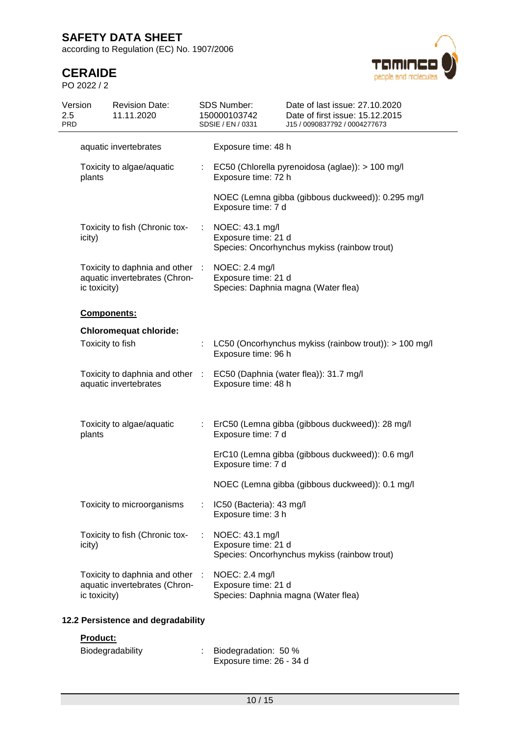according to Regulation (EC) No. 1907/2006

# **CERAIDE**

PO 2022 / 2



| Version<br>2.5<br><b>PRD</b> |                  | <b>Revision Date:</b><br>11.11.2020                                                             |                       | <b>SDS Number:</b><br>150000103742<br>SDSIE / EN / 0331 | Date of last issue: 27.10.2020<br>Date of first issue: 15.12.2015<br>J15 / 0090837792 / 0004277673 |
|------------------------------|------------------|-------------------------------------------------------------------------------------------------|-----------------------|---------------------------------------------------------|----------------------------------------------------------------------------------------------------|
|                              |                  | aquatic invertebrates                                                                           |                       | Exposure time: 48 h                                     |                                                                                                    |
|                              | plants           | Toxicity to algae/aquatic                                                                       | $\mathbb{N}^{\times}$ | Exposure time: 72 h                                     | EC50 (Chlorella pyrenoidosa (aglae)): > 100 mg/l                                                   |
|                              |                  |                                                                                                 |                       | Exposure time: 7 d                                      | NOEC (Lemna gibba (gibbous duckweed)): 0.295 mg/l                                                  |
|                              | icity)           | Toxicity to fish (Chronic tox-                                                                  | ÷.                    | NOEC: 43.1 mg/l<br>Exposure time: 21 d                  | Species: Oncorhynchus mykiss (rainbow trout)                                                       |
|                              | ic toxicity)     | Toxicity to daphnia and other :<br>aquatic invertebrates (Chron-                                |                       | NOEC: 2.4 mg/l<br>Exposure time: 21 d                   | Species: Daphnia magna (Water flea)                                                                |
|                              | Components:      |                                                                                                 |                       |                                                         |                                                                                                    |
|                              |                  | <b>Chloromequat chloride:</b>                                                                   |                       |                                                         |                                                                                                    |
|                              | Toxicity to fish |                                                                                                 |                       | Exposure time: 96 h                                     | LC50 (Oncorhynchus mykiss (rainbow trout)): > 100 mg/l                                             |
|                              |                  | Toxicity to daphnia and other : EC50 (Daphnia (water flea)): 31.7 mg/l<br>aquatic invertebrates |                       | Exposure time: 48 h                                     |                                                                                                    |
|                              | plants           | Toxicity to algae/aquatic                                                                       |                       | Exposure time: 7 d                                      | ErC50 (Lemna gibba (gibbous duckweed)): 28 mg/l                                                    |
|                              |                  |                                                                                                 |                       | Exposure time: 7 d                                      | ErC10 (Lemna gibba (gibbous duckweed)): 0.6 mg/l                                                   |
|                              |                  |                                                                                                 |                       |                                                         | NOEC (Lemna gibba (gibbous duckweed)): 0.1 mg/l                                                    |
|                              |                  | Toxicity to microorganisms                                                                      |                       | IC50 (Bacteria): 43 mg/l<br>Exposure time: 3 h          |                                                                                                    |
|                              | icity)           | Toxicity to fish (Chronic tox-                                                                  |                       | NOEC: 43.1 mg/l<br>Exposure time: 21 d                  | Species: Oncorhynchus mykiss (rainbow trout)                                                       |
|                              | ic toxicity)     | Toxicity to daphnia and other<br>aquatic invertebrates (Chron-                                  |                       | NOEC: 2.4 mg/l<br>Exposure time: 21 d                   | Species: Daphnia magna (Water flea)                                                                |
|                              |                  | 12.2 Persistence and degradability                                                              |                       |                                                         |                                                                                                    |

## **Product:**

| Biodegradability | Biodegradation: 50 %     |
|------------------|--------------------------|
|                  | Exposure time: 26 - 34 d |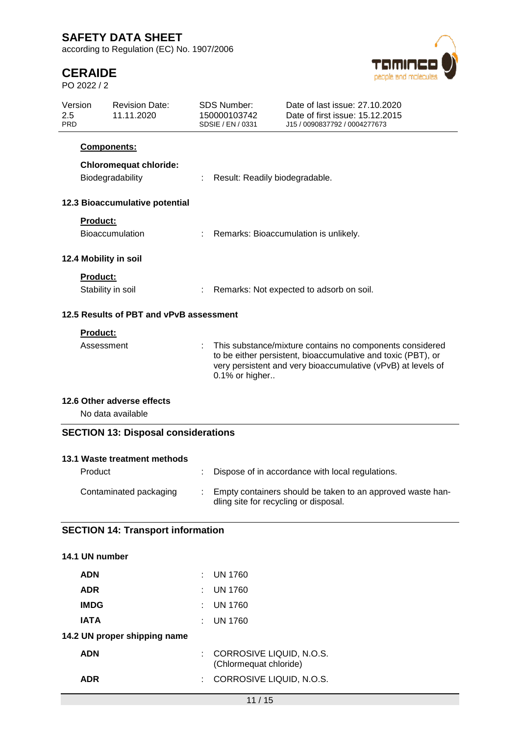according to Regulation (EC) No. 1907/2006

# **CERAIDE**

PO 2022 / 2



| Version<br>2.5<br><b>PRD</b> |                 | <b>Revision Date:</b><br>11.11.2020               | <b>SDS Number:</b><br>150000103742<br>SDSIE / EN / 0331                                                                                                                                                    | Date of last issue: 27.10.2020<br>Date of first issue: 15.12.2015<br>J15 / 0090837792 / 0004277673 |  |
|------------------------------|-----------------|---------------------------------------------------|------------------------------------------------------------------------------------------------------------------------------------------------------------------------------------------------------------|----------------------------------------------------------------------------------------------------|--|
|                              |                 | <b>Components:</b>                                |                                                                                                                                                                                                            |                                                                                                    |  |
|                              |                 | <b>Chloromequat chloride:</b><br>Biodegradability | Result: Readily biodegradable.                                                                                                                                                                             |                                                                                                    |  |
|                              |                 | 12.3 Bioaccumulative potential                    |                                                                                                                                                                                                            |                                                                                                    |  |
|                              | <b>Product:</b> | Bioaccumulation                                   |                                                                                                                                                                                                            | Remarks: Bioaccumulation is unlikely.                                                              |  |
|                              |                 | 12.4 Mobility in soil                             |                                                                                                                                                                                                            |                                                                                                    |  |
|                              | <b>Product:</b> | Stability in soil                                 | Remarks: Not expected to adsorb on soil.                                                                                                                                                                   |                                                                                                    |  |
|                              |                 | 12.5 Results of PBT and vPvB assessment           |                                                                                                                                                                                                            |                                                                                                    |  |
|                              | <b>Product:</b> |                                                   |                                                                                                                                                                                                            |                                                                                                    |  |
|                              | Assessment      |                                                   | This substance/mixture contains no components considered<br>to be either persistent, bioaccumulative and toxic (PBT), or<br>very persistent and very bioaccumulative (vPvB) at levels of<br>0.1% or higher |                                                                                                    |  |
|                              |                 | 12.6 Other adverse effects<br>No data available   |                                                                                                                                                                                                            |                                                                                                    |  |
|                              |                 | <b>SECTION 13: Disposal considerations</b>        |                                                                                                                                                                                                            |                                                                                                    |  |
|                              |                 | 13.1 Waste treatment methods                      |                                                                                                                                                                                                            |                                                                                                    |  |
|                              | Product         |                                                   |                                                                                                                                                                                                            | Dispose of in accordance with local regulations.                                                   |  |
|                              |                 | Contaminated packaging                            | dling site for recycling or disposal.                                                                                                                                                                      | Empty containers should be taken to an approved waste han-                                         |  |
|                              |                 | <b>SECTION 14: Transport information</b>          |                                                                                                                                                                                                            |                                                                                                    |  |

| 14.1 UN number               |      |                                                    |
|------------------------------|------|----------------------------------------------------|
| <b>ADN</b>                   | t.   | UN 1760                                            |
| <b>ADR</b>                   | ÷    | UN 1760                                            |
| <b>IMDG</b>                  | ÷    | <b>UN 1760</b>                                     |
| <b>IATA</b>                  | t in | <b>UN 1760</b>                                     |
| 14.2 UN proper shipping name |      |                                                    |
| <b>ADN</b>                   |      | CORROSIVE LIQUID, N.O.S.<br>(Chlormequat chloride) |
| <b>ADR</b>                   | t.   | CORROSIVE LIQUID, N.O.S.                           |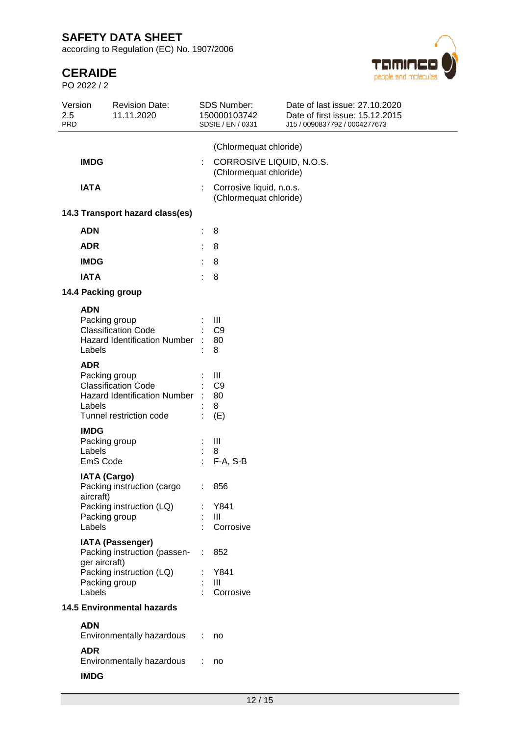according to Regulation (EC) No. 1907/2006

# **CERAIDE**

PO 2022 / 2



| 2.5<br><b>PRD</b> | Version                           | <b>Revision Date:</b><br>11.11.2020                                                                           |                                                         | <b>SDS Number:</b><br>150000103742<br>SDSIE / EN / 0331 | Date of last issue: 27.10.2020<br>Date of first issue: 15.12.2015<br>J15 / 0090837792 / 0004277673 |
|-------------------|-----------------------------------|---------------------------------------------------------------------------------------------------------------|---------------------------------------------------------|---------------------------------------------------------|----------------------------------------------------------------------------------------------------|
|                   |                                   |                                                                                                               |                                                         | (Chlormequat chloride)                                  |                                                                                                    |
|                   | <b>IMDG</b>                       |                                                                                                               | ÷                                                       | CORROSIVE LIQUID, N.O.S.<br>(Chlormequat chloride)      |                                                                                                    |
|                   | <b>IATA</b>                       |                                                                                                               | Corrosive liquid, n.o.s.<br>÷<br>(Chlormequat chloride) |                                                         |                                                                                                    |
|                   |                                   | 14.3 Transport hazard class(es)                                                                               |                                                         |                                                         |                                                                                                    |
|                   | <b>ADN</b>                        |                                                                                                               | ÷                                                       | 8                                                       |                                                                                                    |
|                   | <b>ADR</b>                        |                                                                                                               | t                                                       | 8                                                       |                                                                                                    |
|                   | <b>IMDG</b>                       |                                                                                                               | t                                                       | 8                                                       |                                                                                                    |
|                   | <b>IATA</b>                       |                                                                                                               | ÷                                                       | 8                                                       |                                                                                                    |
|                   |                                   | 14.4 Packing group                                                                                            |                                                         |                                                         |                                                                                                    |
|                   | <b>ADN</b><br>Labels              | Packing group<br><b>Classification Code</b><br><b>Hazard Identification Number</b>                            |                                                         | Ш<br>C <sub>9</sub><br>80<br>8                          |                                                                                                    |
|                   | <b>ADR</b><br>Labels              | Packing group<br><b>Classification Code</b><br><b>Hazard Identification Number</b><br>Tunnel restriction code |                                                         | Ш<br>C <sub>9</sub><br>80<br>8<br>(E)                   |                                                                                                    |
|                   | <b>IMDG</b><br>Labels<br>EmS Code | Packing group                                                                                                 |                                                         | $\mathop{\mathrm{III}}\nolimits$<br>8<br>F-A, S-B       |                                                                                                    |
|                   | <b>IATA (Cargo)</b><br>aircraft)  | Packing instruction (cargo<br>Packing instruction (LQ)                                                        |                                                         | 856<br>: Y841                                           |                                                                                                    |
|                   | Labels                            | Packing group                                                                                                 |                                                         | Ш<br>Corrosive                                          |                                                                                                    |
|                   | ger aircraft)<br>Labels           | <b>IATA (Passenger)</b><br>Packing instruction (passen-<br>Packing instruction (LQ)<br>Packing group          | $\mathcal{L}$                                           | 852<br>Y841<br>$\mathbf{III}$<br>Corrosive              |                                                                                                    |
|                   | <b>14.5 Environmental hazards</b> |                                                                                                               |                                                         |                                                         |                                                                                                    |
|                   | <b>ADN</b>                        | Environmentally hazardous                                                                                     |                                                         | no                                                      |                                                                                                    |
|                   | <b>ADR</b><br><b>IMDG</b>         | Environmentally hazardous                                                                                     | ÷                                                       | no                                                      |                                                                                                    |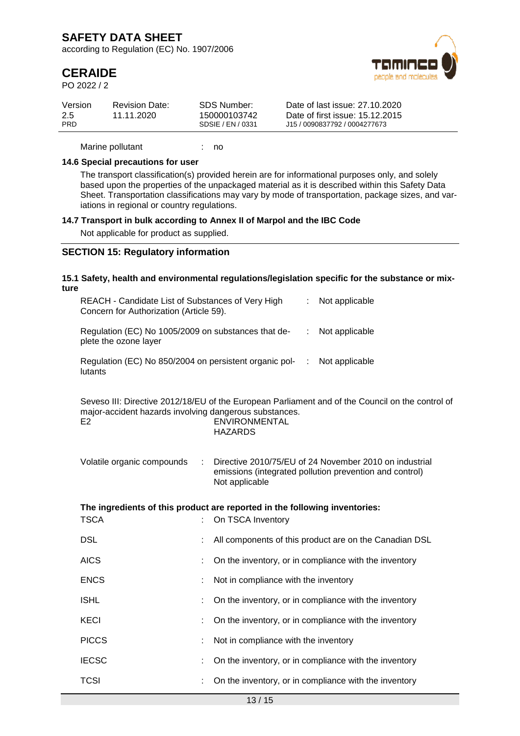according to Regulation (EC) No. 1907/2006

# **CERAIDE**

PO 2022 / 2



| Version           | <b>Revision Date:</b> | SDS Number:                       | Date of last issue: 27.10.2020                                   |
|-------------------|-----------------------|-----------------------------------|------------------------------------------------------------------|
| 2.5<br><b>PRD</b> | 11.11.2020            | 150000103742<br>SDSIF / FN / 0331 | Date of first issue: 15.12.2015<br>J15 / 0090837792 / 0004277673 |
|                   |                       |                                   |                                                                  |

Marine pollutant : no

#### **14.6 Special precautions for user**

The transport classification(s) provided herein are for informational purposes only, and solely based upon the properties of the unpackaged material as it is described within this Safety Data Sheet. Transportation classifications may vary by mode of transportation, package sizes, and variations in regional or country regulations.

#### **14.7 Transport in bulk according to Annex II of Marpol and the IBC Code**

Not applicable for product as supplied.

### **SECTION 15: Regulatory information**

| ture |                                                                                              |   | 15.1 Safety, health and environmental regulations/legislation specific for the substance or mix-                                           |
|------|----------------------------------------------------------------------------------------------|---|--------------------------------------------------------------------------------------------------------------------------------------------|
|      | REACH - Candidate List of Substances of Very High<br>Concern for Authorization (Article 59). |   | Not applicable<br>÷                                                                                                                        |
|      | Regulation (EC) No 1005/2009 on substances that de-<br>plete the ozone layer                 |   | ÷<br>Not applicable                                                                                                                        |
|      | Regulation (EC) No 850/2004 on persistent organic pol-<br>lutants                            |   | $\mathbb{R}^n$<br>Not applicable                                                                                                           |
|      | major-accident hazards involving dangerous substances.<br>E2                                 |   | Seveso III: Directive 2012/18/EU of the European Parliament and of the Council on the control of<br><b>ENVIRONMENTAL</b><br><b>HAZARDS</b> |
|      | Volatile organic compounds                                                                   | ÷ | Directive 2010/75/EU of 24 November 2010 on industrial<br>emissions (integrated pollution prevention and control)<br>Not applicable        |
|      |                                                                                              |   | The ingredients of this product are reported in the following inventories:                                                                 |
|      | <b>TSCA</b>                                                                                  |   | On TSCA Inventory                                                                                                                          |
|      | <b>DSL</b>                                                                                   |   | All components of this product are on the Canadian DSL                                                                                     |
|      | <b>AICS</b>                                                                                  |   | On the inventory, or in compliance with the inventory                                                                                      |
|      | <b>ENCS</b>                                                                                  |   | Not in compliance with the inventory                                                                                                       |
|      | <b>ISHL</b>                                                                                  | ÷ | On the inventory, or in compliance with the inventory                                                                                      |
|      | <b>KECI</b>                                                                                  |   | On the inventory, or in compliance with the inventory                                                                                      |
|      | <b>PICCS</b>                                                                                 |   | Not in compliance with the inventory                                                                                                       |
|      | <b>IECSC</b>                                                                                 | ÷ | On the inventory, or in compliance with the inventory                                                                                      |
|      | <b>TCSI</b>                                                                                  |   | On the inventory, or in compliance with the inventory                                                                                      |
|      |                                                                                              |   |                                                                                                                                            |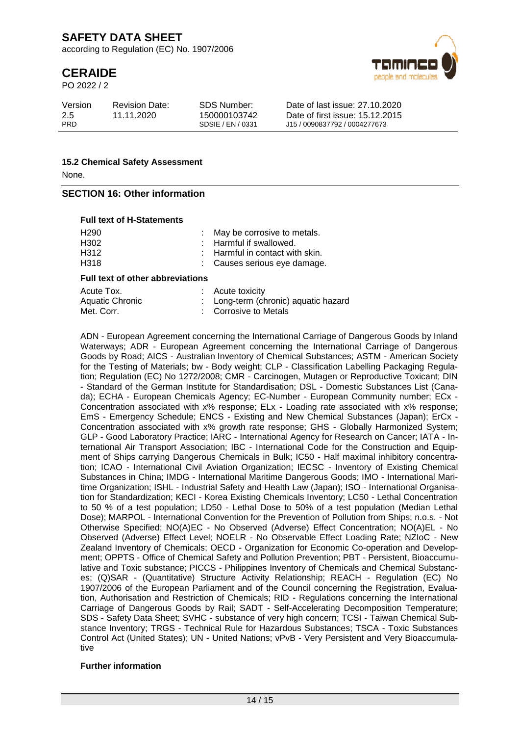according to Regulation (EC) No. 1907/2006

# **CERAIDE**

PO 2022 / 2



| Version           | <b>Revision Date:</b> | SDS Number:                       | Date of last issue: 27.10.2020                                   |
|-------------------|-----------------------|-----------------------------------|------------------------------------------------------------------|
| 2.5<br><b>PRD</b> | 11.11.2020            | 150000103742<br>SDSIE / EN / 0331 | Date of first issue: 15.12.2015<br>J15 / 0090837792 / 0004277673 |
|                   |                       |                                   |                                                                  |

#### **15.2 Chemical Safety Assessment**

None.

#### **SECTION 16: Other information**

#### **Full text of H-Statements**

| H290<br>H302<br>H312<br>H318 | : May be corrosive to metals.<br>: Harmful if swallowed.<br>$\therefore$ Harmful in contact with skin.<br>: Causes serious eye damage. |
|------------------------------|----------------------------------------------------------------------------------------------------------------------------------------|
|                              |                                                                                                                                        |

#### **Full text of other abbreviations**

| Acute Tox.      | $:$ Acute toxicity                   |
|-----------------|--------------------------------------|
| Aquatic Chronic | : Long-term (chronic) aquatic hazard |
| Met. Corr.      | : Corrosive to Metals                |

ADN - European Agreement concerning the International Carriage of Dangerous Goods by Inland Waterways; ADR - European Agreement concerning the International Carriage of Dangerous Goods by Road; AICS - Australian Inventory of Chemical Substances; ASTM - American Society for the Testing of Materials; bw - Body weight; CLP - Classification Labelling Packaging Regulation; Regulation (EC) No 1272/2008; CMR - Carcinogen, Mutagen or Reproductive Toxicant; DIN - Standard of the German Institute for Standardisation; DSL - Domestic Substances List (Canada); ECHA - European Chemicals Agency; EC-Number - European Community number; ECx - Concentration associated with x% response; ELx - Loading rate associated with x% response; EmS - Emergency Schedule; ENCS - Existing and New Chemical Substances (Japan); ErCx - Concentration associated with x% growth rate response; GHS - Globally Harmonized System; GLP - Good Laboratory Practice; IARC - International Agency for Research on Cancer; IATA - International Air Transport Association; IBC - International Code for the Construction and Equipment of Ships carrying Dangerous Chemicals in Bulk; IC50 - Half maximal inhibitory concentration; ICAO - International Civil Aviation Organization; IECSC - Inventory of Existing Chemical Substances in China; IMDG - International Maritime Dangerous Goods; IMO - International Maritime Organization; ISHL - Industrial Safety and Health Law (Japan); ISO - International Organisation for Standardization; KECI - Korea Existing Chemicals Inventory; LC50 - Lethal Concentration to 50 % of a test population; LD50 - Lethal Dose to 50% of a test population (Median Lethal Dose); MARPOL - International Convention for the Prevention of Pollution from Ships; n.o.s. - Not Otherwise Specified; NO(A)EC - No Observed (Adverse) Effect Concentration; NO(A)EL - No Observed (Adverse) Effect Level; NOELR - No Observable Effect Loading Rate; NZIoC - New Zealand Inventory of Chemicals; OECD - Organization for Economic Co-operation and Development; OPPTS - Office of Chemical Safety and Pollution Prevention; PBT - Persistent, Bioaccumulative and Toxic substance; PICCS - Philippines Inventory of Chemicals and Chemical Substances; (Q)SAR - (Quantitative) Structure Activity Relationship; REACH - Regulation (EC) No 1907/2006 of the European Parliament and of the Council concerning the Registration, Evaluation, Authorisation and Restriction of Chemicals; RID - Regulations concerning the International Carriage of Dangerous Goods by Rail; SADT - Self-Accelerating Decomposition Temperature; SDS - Safety Data Sheet; SVHC - substance of very high concern; TCSI - Taiwan Chemical Substance Inventory; TRGS - Technical Rule for Hazardous Substances; TSCA - Toxic Substances Control Act (United States); UN - United Nations; vPvB - Very Persistent and Very Bioaccumulative

#### **Further information**